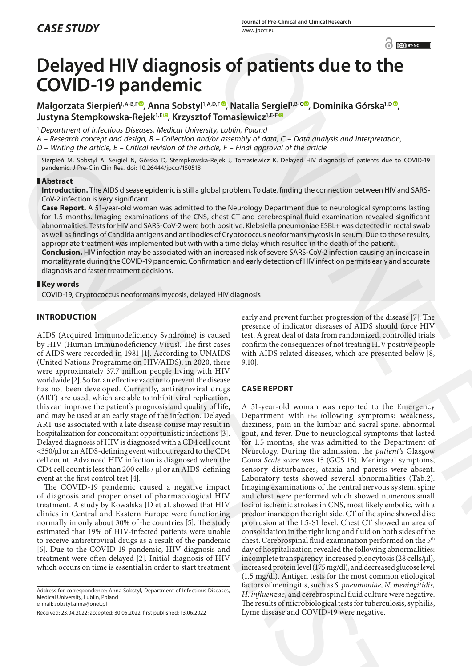# **Delayed HIV diagnosis of patients due to the COVID-19 pandemic**

**Małgorzata Sierpień1,A-B,F [,](https://orcid.org/0000-0002-0119-2775) Anna Sobstyl1,A,D,F , Natalia Sergiel1,B-C , Dominika Górska1,D , Justyna Stempkowska-Rejek1,E [,](https://orcid.org/0000-0003-2938-117X) Krzysztof Tomasiewicz1,E-F**

<sup>1</sup> *Department of Infectious Diseases, Medical University, Lublin, Poland*

*A – Research concept and design, B – Collection and/or assembly of data, C – Data analysis and interpretation, D – Writing the article, E – Critical revision of the article, F – Final approval of the article*

Sierpień M, Sobstyl A, Sergiel N, Górska D, Stempkowska-Rejek J, Tomasiewicz K. Delayed HIV diagnosis of patients due to COVID-19 pandemic. J Pre-Clin Clin Res. doi: 10.26444/jpccr/150518

## **Abstract**

**Introduction.** The AIDS disease epidemic is still a global problem. To date, finding the connection between HIV and SARS-CoV-2 infection is very significant.

**Case Report.** A 51-year-old woman was admitted to the Neurology Department due to neurological symptoms lasting for 1.5 months. Imaging examinations of the CNS, chest CT and cerebrospinal fluid examination revealed significant abnormalities. Tests for HIV and SARS-CoV-2 were both positive. Klebsiella pneumoniae ESBL+ was detected in rectal swab as well as findings of Candida antigens and antibodies of Cryptococcus neoformans mycosis in serum. Due to these results, appropriate treatment was implemented but with with a time delay which resulted in the death of the patient.

**Conclusion.** HIV infection may be associated with an increased risk of severe SARS-CoV-2 infection causing an increase in mortality rate during the COVID-19 pandemic. Confirmation and early detection of HIV infection permits early and accurate diagnosis and faster treatment decisions.

# **Key words**

COVID-19, Cryptococcus neoformans mycosis, delayed HIV diagnosis

# **INTRODUCTION**

AIDS (Acquired Immunodeficiency Syndrome) is caused by HIV (Human Immunodeficiency Virus). The first cases of AIDS were recorded in 1981 [1]. According to UNAIDS (United Nations Programme on HIV/AIDS), in 2020, there were approximately 37.7 million people living with HIV worldwide [2]. So far, an effective vaccine to prevent the disease has not been developed. Currently, antiretroviral drugs (ART) are used, which are able to inhibit viral replication, this can improve the patient's prognosis and quality of life, and may be used at an early stage of the infection. Delayed ART use associated with a late disease course may result in hospitalization for concomitant opportunistic infections [3]. Delayed diagnosis of HIV is diagnosed with a CD4 cell count <350/μl or an AIDS-defining event without regard **t**o the CD4 cell count. Advanced HIV infection is diagnosed when the CD4 cell count is less than 200 cells / μl or an AIDS-defining event at the first control test [4].

The COVID-19 pandemic caused a negative impact of diagnosis and proper onset of pharmacological HIV treatment. A study by Kowalska JD et al. showed that HIV clinics in Central and Eastern Europe were functioning normally in only about 30% of the countries [5]. The study estimated that 19% of HIV-infected patients were unable to receive antiretroviral drugs as a result of the pandemic [6]. Due to the COVID-19 pandemic, HIV diagnosis and treatment were often delayed [2]. Initial diagnosis of HIV which occurs on time is essential in order to start treatment early and prevent further progression of the disease [7]. The presence of indicator diseases of AIDS should force HIV test. A great deal of data from randomized, controlled trials confirm the consequences of not treating HIV positive people with AIDS related diseases, which are presented below [8, 9,10].

# **CASE REPORT**

A 51-year-old woman was reported to the Emergency Department with the following symptoms: weakness, dizziness, pain in the lumbar and sacral spine, abnormal gout, and fever. Due to neurological symptoms that lasted for 1.5 months, she was admitted to the Department of Neurology. During the admission, the *patient's* Glasgow Coma *Scale score* was 15 (GCS 15). Meningeal symptoms, sensory disturbances, ataxia and paresis were absent. Laboratory tests showed several abnormalities (Tab.2). Imaging examinations of the central nervous system, spine and chest were performed which showed numerous small foci of ischemic strokes in CNS, most likely embolic, with a predominance on the right side. CT of the spine showed disc protrusion at the L5-S1 level. Chest CT showed an area of consolidation in the right lung and fluid on both sides of the chest. Cerebrospinal fluid examination performed on the 5th day of hospitalization revealed the following abnormalities: incomplete transparency, increased pleocytosis (28 cells/µl), increased protein level (175 mg/dl), and decreased glucose level (1.5 mg/dl). Antigen tests for the most common etiological factors of meningitis, such as *S. pneumoniae, N. meningitidis, H. influenzae,* and cerebrospinal fluid culture were negative. The results of microbiological tests for tuberculosis, syphilis, Lyme disease and COVID-19 were negative.  $\odot$  **Frances (3)**<br> **S Continuosity Continuosity Continuosity Continuosity Continuosity** *Continuosity Continuosity Continuosity Continuosity Continuosity Continuosity Continuosity Continuosity* shapes M, assets A, accepts A, accepts and the same section and the same section and the same section and the same section and the same section and the same section and the same section and the same section and the same s

Address for correspondence: Anna Sobstyl, Department of Infectious Diseases, Medical University, Lublin, Poland e-mail: sobstyl.anna@onet.pl

Received: 23.04.2022; accepted: 30.05.2022; first published: 13.06.2022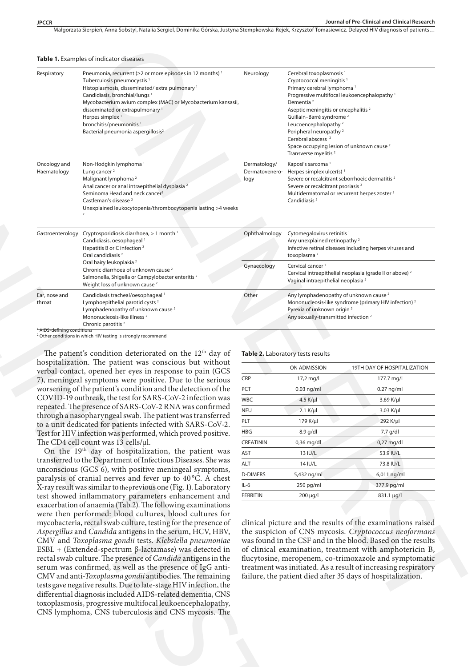Małgorzata Sierpień, Anna Sobstyl, Natalia Sergiel, Dominika Górska, Justyna Stempkowska-Rejek, Krzysztof Tomasiewicz. Delayed HIV diagnosis of patients...

| Respiratory                                                                                                                                                                                                                                                                                                                                                                                                                                                                                                                                                                                                                                                                                                                                                                                                                     | Pneumonia, recurrent (≥2 or more episodes in 12 months) <sup>1</sup><br>Tuberculosis pneumocystis <sup>1</sup><br>Histoplasmosis, disseminated/extra pulmonary <sup>1</sup><br>Candidiasis, bronchial/lungs <sup>1</sup><br>Mycobacterium avium complex (MAC) or Mycobacterium kansasii,<br>disseminated or extrapulmonary <sup>1</sup><br>Herpes simplex <sup>1</sup><br>bronchitis/pneumonitis<br>Bacterial pneumonia aspergillosis <sup>2</sup> | Neurology                                                                                                                                                                                                                                                                                                                                                                                                                                 | Cerebral toxoplasmosis <sup>1</sup><br>Cryptococcal meningitis <sup>1</sup><br>Primary cerebral lymphoma <sup>1</sup><br>Dementia <sup>2</sup><br>Aseptic meningitis or encephalitis <sup>2</sup><br>Guillain-Barré syndrome <sup>2</sup><br>Leucoencephalopathy <sup>2</sup><br>Peripheral neuropathy <sup>2</sup><br>Cerebral abscess <sup>2</sup><br>Space occupying lesion of unknown cause <sup>2</sup><br>Transverse myelitis <sup>2</sup> | Progressive multifocal leukoencephalopathy <sup>1</sup> |
|---------------------------------------------------------------------------------------------------------------------------------------------------------------------------------------------------------------------------------------------------------------------------------------------------------------------------------------------------------------------------------------------------------------------------------------------------------------------------------------------------------------------------------------------------------------------------------------------------------------------------------------------------------------------------------------------------------------------------------------------------------------------------------------------------------------------------------|----------------------------------------------------------------------------------------------------------------------------------------------------------------------------------------------------------------------------------------------------------------------------------------------------------------------------------------------------------------------------------------------------------------------------------------------------|-------------------------------------------------------------------------------------------------------------------------------------------------------------------------------------------------------------------------------------------------------------------------------------------------------------------------------------------------------------------------------------------------------------------------------------------|--------------------------------------------------------------------------------------------------------------------------------------------------------------------------------------------------------------------------------------------------------------------------------------------------------------------------------------------------------------------------------------------------------------------------------------------------|---------------------------------------------------------|
| Oncology and<br>Haematology                                                                                                                                                                                                                                                                                                                                                                                                                                                                                                                                                                                                                                                                                                                                                                                                     | Non-Hodgkin lymphoma <sup>1</sup><br>Lung cancer <sup>2</sup><br>Malignant lymphoma <sup>2</sup><br>Anal cancer or anal intraepithelial dysplasia <sup>2</sup><br>Seminoma Head and neck cancer <sup>2</sup><br>Castleman's disease <sup>2</sup><br>Unexplained leukocytopenia/thrombocytopenia lasting >4 weeks                                                                                                                                   | Dermatology/<br>Dermatovenero-<br>logy                                                                                                                                                                                                                                                                                                                                                                                                    | Kaposi's sarcoma <sup>1</sup><br>Herpes simplex ulcer(s) <sup>1</sup><br>Severe or recalcitrant seborrhoeic dermatitis <sup>2</sup><br>Severe or recalcitrant psoriasis <sup>2</sup><br>Multidermatomal or recurrent herpes zoster <sup>2</sup><br>Candidiasis <sup>2</sup>                                                                                                                                                                      |                                                         |
|                                                                                                                                                                                                                                                                                                                                                                                                                                                                                                                                                                                                                                                                                                                                                                                                                                 | Gastroenterology Cryptosporidiosis diarrhoea, > 1 month 1<br>Candidiasis, oesophageal <sup>1</sup><br>Hepatitis B or C infection <sup>2</sup><br>Oral candidiasis <sup>2</sup><br>Oral hairy leukoplakia <sup>2</sup><br>Chronic diarrhoea of unknown cause <sup>2</sup><br>Salmonella, Shigella or Campylobacter enteritis <sup>2</sup><br>Weight loss of unknown cause <sup>2</sup>                                                              | Ophthalmology                                                                                                                                                                                                                                                                                                                                                                                                                             | Cytomegalovirus retinitis <sup>1</sup><br>Any unexplained retinopathy <sup>2</sup><br>Infective retinal diseases including herpes viruses and<br>toxoplasma <sup>2</sup>                                                                                                                                                                                                                                                                         |                                                         |
|                                                                                                                                                                                                                                                                                                                                                                                                                                                                                                                                                                                                                                                                                                                                                                                                                                 |                                                                                                                                                                                                                                                                                                                                                                                                                                                    | Gynaecology                                                                                                                                                                                                                                                                                                                                                                                                                               | Cervical cancer <sup>1</sup><br>Cervical intraepithelial neoplasia (grade II or above) <sup>2</sup><br>Vaginal intraepithelial neoplasia <sup>2</sup>                                                                                                                                                                                                                                                                                            |                                                         |
| Ear, nose and<br>throat                                                                                                                                                                                                                                                                                                                                                                                                                                                                                                                                                                                                                                                                                                                                                                                                         | Candidiasis tracheal/oesophageal <sup>1</sup><br>Lymphoepithelial parotid cysts <sup>2</sup><br>Lymphadenopathy of unknown cause <sup>2</sup><br>Mononucleosis-like illness <sup>2</sup><br>Chronic parotitis <sup>2</sup>                                                                                                                                                                                                                         | Other                                                                                                                                                                                                                                                                                                                                                                                                                                     | Any lymphadenopathy of unknown cause <sup>2</sup><br>Mononucleosis-like syndrome (primary HIV infection) <sup>2</sup><br>Pyrexia of unknown origin <sup>2</sup><br>Any sexually-transmitted infection <sup>2</sup>                                                                                                                                                                                                                               |                                                         |
| <sup>1</sup> AIDS-defining conditions                                                                                                                                                                                                                                                                                                                                                                                                                                                                                                                                                                                                                                                                                                                                                                                           | <sup>2</sup> Other conditions in which HIV testing is strongly recommend                                                                                                                                                                                                                                                                                                                                                                           |                                                                                                                                                                                                                                                                                                                                                                                                                                           |                                                                                                                                                                                                                                                                                                                                                                                                                                                  |                                                         |
|                                                                                                                                                                                                                                                                                                                                                                                                                                                                                                                                                                                                                                                                                                                                                                                                                                 | The patient's condition deteriorated on the 12 <sup>th</sup> day of                                                                                                                                                                                                                                                                                                                                                                                |                                                                                                                                                                                                                                                                                                                                                                                                                                           | Table 2. Laboratory tests results                                                                                                                                                                                                                                                                                                                                                                                                                |                                                         |
|                                                                                                                                                                                                                                                                                                                                                                                                                                                                                                                                                                                                                                                                                                                                                                                                                                 | hospitalization. The patient was conscious but without                                                                                                                                                                                                                                                                                                                                                                                             |                                                                                                                                                                                                                                                                                                                                                                                                                                           |                                                                                                                                                                                                                                                                                                                                                                                                                                                  |                                                         |
|                                                                                                                                                                                                                                                                                                                                                                                                                                                                                                                                                                                                                                                                                                                                                                                                                                 | verbal contact, opened her eyes in response to pain (GCS                                                                                                                                                                                                                                                                                                                                                                                           |                                                                                                                                                                                                                                                                                                                                                                                                                                           | ON ADMISSION                                                                                                                                                                                                                                                                                                                                                                                                                                     | 19TH DAY OF HOSPITALIZATION                             |
|                                                                                                                                                                                                                                                                                                                                                                                                                                                                                                                                                                                                                                                                                                                                                                                                                                 | 7), meningeal symptoms were positive. Due to the serious<br>worsening of the patient's condition and the detection of the                                                                                                                                                                                                                                                                                                                          | CRP<br>PCT                                                                                                                                                                                                                                                                                                                                                                                                                                | 17,2 mg/l                                                                                                                                                                                                                                                                                                                                                                                                                                        | 177.7 mg/l                                              |
|                                                                                                                                                                                                                                                                                                                                                                                                                                                                                                                                                                                                                                                                                                                                                                                                                                 | COVID-19 outbreak, the test for SARS-CoV-2 infection was                                                                                                                                                                                                                                                                                                                                                                                           | <b>WBC</b>                                                                                                                                                                                                                                                                                                                                                                                                                                | $0.03$ ng/ml                                                                                                                                                                                                                                                                                                                                                                                                                                     | $0.27$ ng/ml                                            |
|                                                                                                                                                                                                                                                                                                                                                                                                                                                                                                                                                                                                                                                                                                                                                                                                                                 | repeated. The presence of SARS-CoV-2 RNA was confirmed                                                                                                                                                                                                                                                                                                                                                                                             | <b>NEU</b>                                                                                                                                                                                                                                                                                                                                                                                                                                | 4.5 K/ $\mu$<br>$2.1$ K/ $\mu$                                                                                                                                                                                                                                                                                                                                                                                                                   | 3.69 K/ $\mu$ l<br>3.03 K/µl                            |
| through a nasopharyngeal swab. The patient was transferred<br>to a unit dedicated for patients infected with SARS-CoV-2.<br>Test for HIV infection was performed, which proved positive.<br>The CD4 cell count was 13 cells/µl.                                                                                                                                                                                                                                                                                                                                                                                                                                                                                                                                                                                                 |                                                                                                                                                                                                                                                                                                                                                                                                                                                    | PLT                                                                                                                                                                                                                                                                                                                                                                                                                                       | 179 K/µl                                                                                                                                                                                                                                                                                                                                                                                                                                         | 292 K/µl                                                |
|                                                                                                                                                                                                                                                                                                                                                                                                                                                                                                                                                                                                                                                                                                                                                                                                                                 |                                                                                                                                                                                                                                                                                                                                                                                                                                                    | HBG                                                                                                                                                                                                                                                                                                                                                                                                                                       | 8.9 g/dl                                                                                                                                                                                                                                                                                                                                                                                                                                         | 7.7 g/dl                                                |
|                                                                                                                                                                                                                                                                                                                                                                                                                                                                                                                                                                                                                                                                                                                                                                                                                                 |                                                                                                                                                                                                                                                                                                                                                                                                                                                    | CREATININ                                                                                                                                                                                                                                                                                                                                                                                                                                 | 0,36 mg/dl                                                                                                                                                                                                                                                                                                                                                                                                                                       | 0,27 mg/dl                                              |
|                                                                                                                                                                                                                                                                                                                                                                                                                                                                                                                                                                                                                                                                                                                                                                                                                                 | On the 19 <sup>th</sup> day of hospitalization, the patient was                                                                                                                                                                                                                                                                                                                                                                                    | AST                                                                                                                                                                                                                                                                                                                                                                                                                                       | 13 IU/L                                                                                                                                                                                                                                                                                                                                                                                                                                          | 53.9 IU/L                                               |
|                                                                                                                                                                                                                                                                                                                                                                                                                                                                                                                                                                                                                                                                                                                                                                                                                                 | transferred to the Department of Infectious Diseases. She was                                                                                                                                                                                                                                                                                                                                                                                      | ALT                                                                                                                                                                                                                                                                                                                                                                                                                                       | 14 IU/L                                                                                                                                                                                                                                                                                                                                                                                                                                          | 73.8 IU/L                                               |
|                                                                                                                                                                                                                                                                                                                                                                                                                                                                                                                                                                                                                                                                                                                                                                                                                                 | unconscious (GCS 6), with positive meningeal symptoms,                                                                                                                                                                                                                                                                                                                                                                                             | <b>D-DIMERS</b>                                                                                                                                                                                                                                                                                                                                                                                                                           | 5,432 ng/ml                                                                                                                                                                                                                                                                                                                                                                                                                                      | 6,011 ng/ml                                             |
|                                                                                                                                                                                                                                                                                                                                                                                                                                                                                                                                                                                                                                                                                                                                                                                                                                 | paralysis of cranial nerves and fever up to 40°C. A chest                                                                                                                                                                                                                                                                                                                                                                                          | IL-6                                                                                                                                                                                                                                                                                                                                                                                                                                      | 250 pg/ml                                                                                                                                                                                                                                                                                                                                                                                                                                        | 377.9 pg/ml                                             |
|                                                                                                                                                                                                                                                                                                                                                                                                                                                                                                                                                                                                                                                                                                                                                                                                                                 | X-ray result was similar to the previous one (Fig. 1). Laboratory<br>test showed inflammatory parameters enhancement and                                                                                                                                                                                                                                                                                                                           | <b>FERRITIN</b>                                                                                                                                                                                                                                                                                                                                                                                                                           | 200 µg/l                                                                                                                                                                                                                                                                                                                                                                                                                                         | 831.1 µg/l                                              |
| exacerbation of anaemia (Tab.2). The following examinations<br>were then performed: blood cultures, blood cultures for<br>mycobacteria, rectal swab culture, testing for the presence of<br>Aspergillus and Candida antigens in the serum, HCV, HBV,<br>CMV and Toxoplasma gondii tests. Klebsiella pneumoniae<br>$ESBL + (Extended-spectrum \beta-lactamase)$ was detected in<br>rectal swab culture. The presence of Candida antigens in the<br>serum was confirmed, as well as the presence of IgG anti-<br>CMV and anti-Toxoplasma gondii antibodies. The remaining<br>tests gave negative results. Due to late-stage HIV infection, the<br>differential diagnosis included AIDS-related dementia, CNS<br>toxoplasmosis, progressive multifocal leukoencephalopathy,<br>CNS lymphoma, CNS tuberculosis and CNS mycosis. The |                                                                                                                                                                                                                                                                                                                                                                                                                                                    | clinical picture and the results of the examinations raised<br>the suspicion of CNS mycosis. Cryptococcus neoformans<br>was found in the CSF and in the blood. Based on the results<br>of clinical examination, treatment with amphotericin B,<br>flucytosine, meropenem, co-trimoxazole and symptomatic<br>treatment was initiated. As a result of increasing respiratory<br>failure, the patient died after 35 days of hospitalization. |                                                                                                                                                                                                                                                                                                                                                                                                                                                  |                                                         |

#### **Table 1.** Examples of indicator diseases

|                  | ON ADMISSION           | 19TH DAY OF HOSPITALIZATION |  |  |
|------------------|------------------------|-----------------------------|--|--|
| <b>CRP</b>       | $17,2 \,\mathrm{mg/l}$ | 177.7 mg/l                  |  |  |
| <b>PCT</b>       | $0.03$ ng/ml           | $0.27$ ng/ml                |  |  |
| <b>WBC</b>       | 4.5 K/µl               | 3.69 K/µl                   |  |  |
| <b>NEU</b>       | $2.1$ K/ $\mu$ I       | $3.03$ K/ $\mu$ I           |  |  |
| PLT              | 179 K/µl               | 292 K/µl                    |  |  |
| <b>HBG</b>       | $8.9$ g/dl             | $7.7$ g/dl                  |  |  |
| <b>CREATININ</b> | $0,36$ mg/dl           | $0,27$ mg/dl                |  |  |
| <b>AST</b>       | 13 IU/L                | 53.9 IU/L                   |  |  |
| <b>ALT</b>       | 14 IU/L                | 73.8 IU/L                   |  |  |
| <b>D-DIMERS</b>  | 5,432 ng/ml            | 6,011 ng/ml                 |  |  |
| $IL-6$           | 250 pg/ml              | 377.9 pg/ml                 |  |  |
| <b>FERRITIN</b>  | 200 µg/l               | 831.1 µg/l                  |  |  |
|                  |                        |                             |  |  |